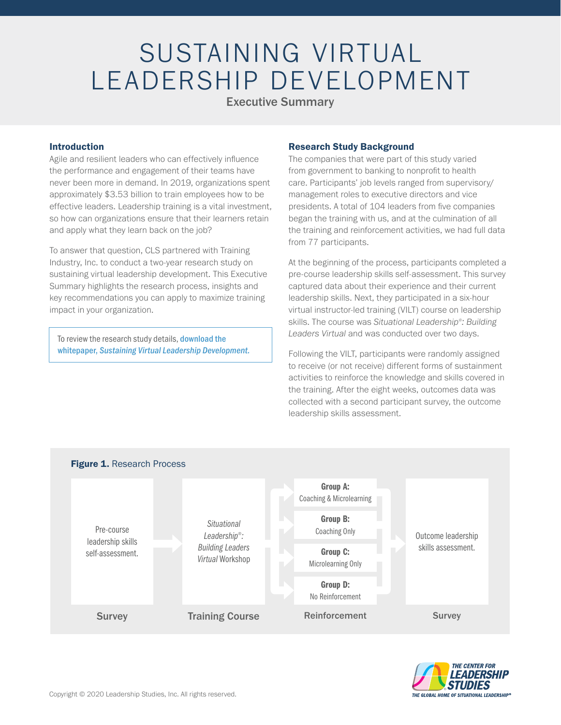# SUSTAINING VIRTUAL LEADERSHIP DEVELOPMENT

### Executive Summary

#### Introduction

Agile and resilient leaders who can effectively influence the performance and engagement of their teams have never been more in demand. In 2019, organizations spent approximately \$3.53 billion to train employees how to be effective leaders. Leadership training is a vital investment, so how can organizations ensure that their learners retain and apply what they learn back on the job?

To answer that question, CLS partnered with Training Industry, Inc. to conduct a two-year research study on sustaining virtual leadership development. This Executive Summary highlights the research process, insights and key recommendations you can apply to maximize training impact in your organization.

To review the research study details, download the whitepaper, *[Sustaining Virtual Leadership Development.](https://situational.com/whitepapers/sustaining-virtual-leadership-development/)*

#### Research Study Background

The companies that were part of this study varied from government to banking to nonprofit to health care. Participants' job levels ranged from supervisory/ management roles to executive directors and vice presidents. A total of 104 leaders from five companies began the training with us, and at the culmination of all the training and reinforcement activities, we had full data from 77 participants.

At the beginning of the process, participants completed a pre-course leadership skills self-assessment. This survey captured data about their experience and their current leadership skills. Next, they participated in a six-hour virtual instructor-led training (VILT) course on leadership skills. The course was *Situational Leadership® : Building Leaders Virtual* and was conducted over two days.

Following the VILT, participants were randomly assigned to receive (or not receive) different forms of sustainment activities to reinforce the knowledge and skills covered in the training. After the eight weeks, outcomes data was collected with a second participant survey, the outcome leadership skills assessment.



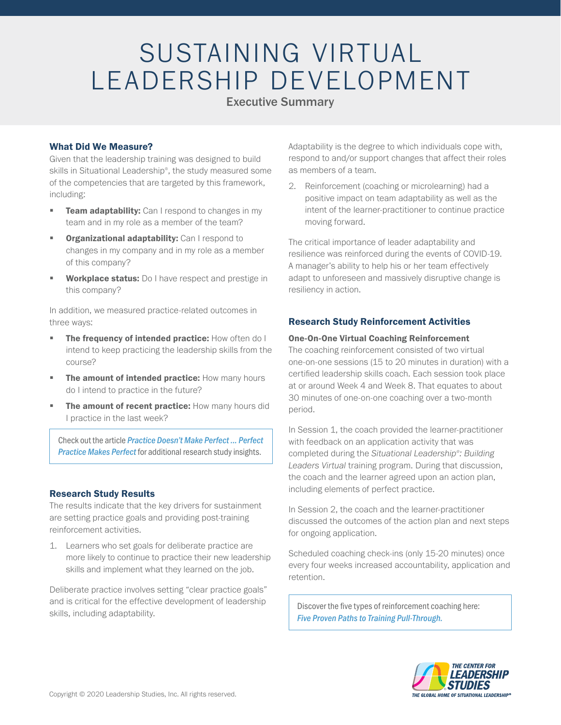# SUSTAINING VIRTUAL LEADERSHIP DEVELOPMENT

### Executive Summary

#### What Did We Measure?

Given that the leadership training was designed to build skills in Situational Leadership® , the study measured some of the competencies that are targeted by this framework, including:

- Team adaptability: Can I respond to changes in my team and in my role as a member of the team?
- **Organizational adaptability:** Can I respond to changes in my company and in my role as a member of this company?
- Workplace status: Do I have respect and prestige in this company?

In addition, we measured practice-related outcomes in three ways:

- The frequency of intended practice: How often do I intend to keep practicing the leadership skills from the course?
- The amount of intended practice: How many hours do I intend to practice in the future?
- The amount of recent practice: How many hours did I practice in the last week?

Check out the article *[Practice Doesn't Make Perfect ... Perfect](https://situational.com/articles/practice-doesnt-make-perfect-perfect-practice-makes-perfect/)  Practice Makes Perfect* for additional research study insights.

### Research Study Results

The results indicate that the key drivers for sustainment are setting practice goals and providing post-training reinforcement activities.

1. Learners who set goals for deliberate practice are more likely to continue to practice their new leadership skills and implement what they learned on the job.

Deliberate practice involves setting "clear practice goals" and is critical for the effective development of leadership skills, including adaptability.

Adaptability is the degree to which individuals cope with, respond to and/or support changes that affect their roles as members of a team.

2. Reinforcement (coaching or microlearning) had a positive impact on team adaptability as well as the intent of the learner-practitioner to continue practice moving forward.

The critical importance of leader adaptability and resilience was reinforced during the events of COVID-19. A manager's ability to help his or her team effectively adapt to unforeseen and massively disruptive change is resiliency in action.

### Research Study Reinforcement Activities

#### One-On-One Virtual Coaching Reinforcement

The coaching reinforcement consisted of two virtual one-on-one sessions (15 to 20 minutes in duration) with a certified leadership skills coach. Each session took place at or around Week 4 and Week 8. That equates to about 30 minutes of one-on-one coaching over a two-month period.

In Session 1, the coach provided the learner-practitioner with feedback on an application activity that was completed during the *Situational Leadership® : Building Leaders Virtual* training program. During that discussion, the coach and the learner agreed upon an action plan, including elements of perfect practice.

In Session 2, the coach and the learner-practitioner discussed the outcomes of the action plan and next steps for ongoing application.

Scheduled coaching check-ins (only 15-20 minutes) once every four weeks increased accountability, application and retention.

[Discover the five types of reinforcement coaching here:](https://situational.com/blog/five-proven-paths-to-training-pull-through/) *Five Proven Paths to Training Pull-Through.*